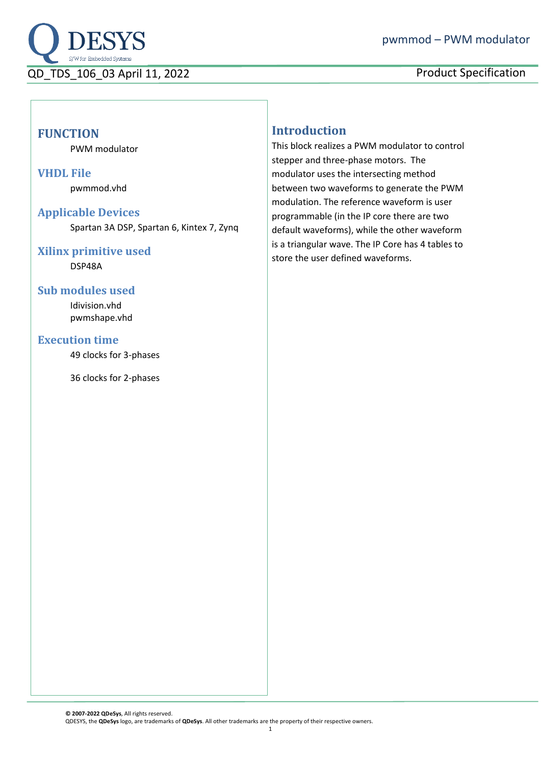

# **FUNCTION**

PWM modulator

#### **VHDL File**

pwmmod.vhd

#### **Applicable Devices**

Spartan 3A DSP, Spartan 6, Kintex 7, Zynq

## **Xilinx primitive used**

DSP48A

## **Sub modules used**

Idivision.vhd pwmshape.vhd

### **Execution time**

49 clocks for 3-phases

36 clocks for 2-phases

# **Introduction**

This block realizes a PWM modulator to control stepper and three-phase motors. The modulator uses the intersecting method between two waveforms to generate the PWM modulation. The reference waveform is user programmable (in the IP core there are two default waveforms), while the other waveform is a triangular wave. The IP Core has 4 tables to store the user defined waveforms.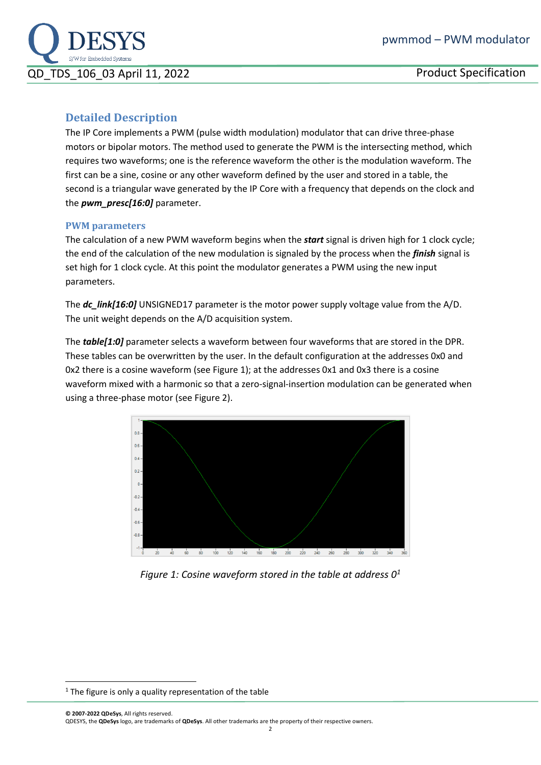

# **Detailed Description**

The IP Core implements a PWM (pulse width modulation) modulator that can drive three-phase motors or bipolar motors. The method used to generate the PWM is the intersecting method, which requires two waveforms; one is the reference waveform the other is the modulation waveform. The first can be a sine, cosine or any other waveform defined by the user and stored in a table, the second is a triangular wave generated by the IP Core with a frequency that depends on the clock and the *pwm\_presc[16:0]* parameter.

#### **PWM parameters**

The calculation of a new PWM waveform begins when the *start* signal is driven high for 1 clock cycle; the end of the calculation of the new modulation is signaled by the process when the *finish* signal is set high for 1 clock cycle. At this point the modulator generates a PWM using the new input parameters.

The *dc\_link[16:0]* UNSIGNED17 parameter is the motor power supply voltage value from the A/D. The unit weight depends on the A/D acquisition system.

The *table[1:0]* parameter selects a waveform between four waveforms that are stored in the DPR. These tables can be overwritten by the user. In the default configuration at the addresses 0x0 and 0x2 there is a cosine waveform (see [Figure 1\)](#page-1-0); at the addresses 0x1 and 0x3 there is a cosine waveform mixed with a harmonic so that a zero-signal-insertion modulation can be generated when using a three-phase motor (see [Figure 2\)](#page-2-0).

<span id="page-1-1"></span>

*Figure 1: Cosine waveform stored in the table at address 0<sup>1</sup>*

<span id="page-1-0"></span> $1$  The figure is only a quality representation of the table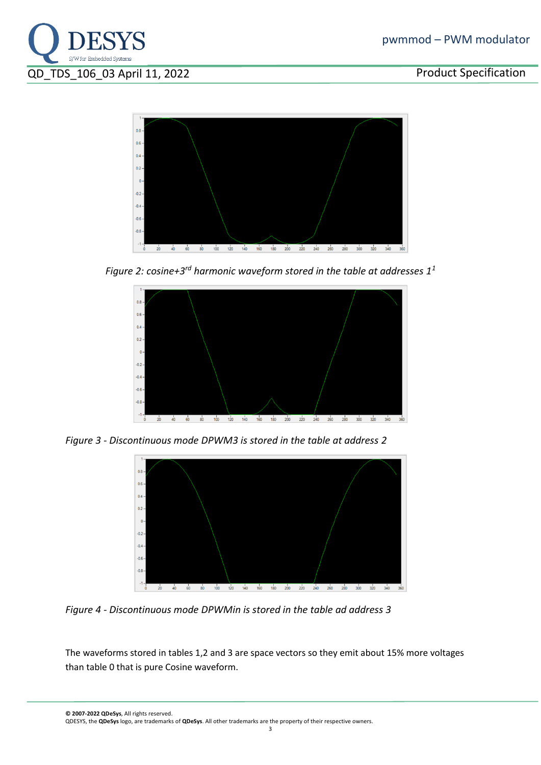



<span id="page-2-0"></span>Figure 2: cosine+3<sup>rd</sup> harmonic waveform stored in the table at addresses  $1^1$  $1^1$ 



*Figure 3 - Discontinuous mode DPWM3 is stored in the table at address 2*



*Figure 4 - Discontinuous mode DPWMin is stored in the table ad address 3*

The waveforms stored in tables 1,2 and 3 are space vectors so they emit about 15% more voltages than table 0 that is pure Cosine waveform.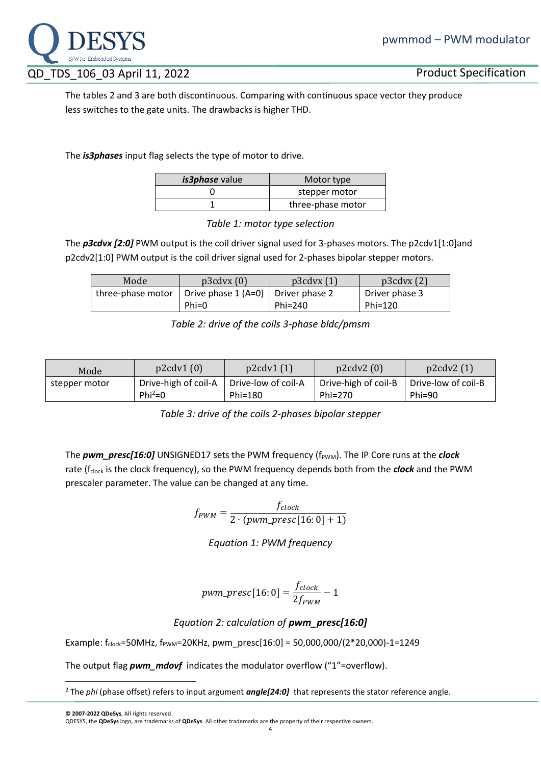

The tables 2 and 3 are both discontinuous. Comparing with continuous space vector they produce less switches to the gate units. The drawbacks is higher THD.

The *is3phases* input flag selects the type of motor to drive.

| <i>is3phase</i> value | Motor type        |
|-----------------------|-------------------|
|                       | stepper motor     |
|                       | three-phase motor |

*Table 1: motor type selection*

The *p3cdvx [2:0]* PWM output is the coil driver signal used for 3-phases motors. The p2cdv1[1:0]and p2cdv2[1:0] PWM output is the coil driver signal used for 2-phases bipolar stepper motors.

| Mode              | p3cdvx(0)                             | p3cdvx(1) | p3cdvx(2)      |
|-------------------|---------------------------------------|-----------|----------------|
| three-phase motor | Drive phase $1(A=0)$   Driver phase 2 |           | Driver phase 3 |
|                   | $Phi=0$                               | Phi=240   | Phi=120        |

*Table 2: drive of the coils 3-phase bldc/pmsm*

| Mode          | p2cdv1(0)            | p2cdv1(1)           | p2cdv2(0)            | p2cdv2(1)           |
|---------------|----------------------|---------------------|----------------------|---------------------|
| stepper motor | Drive-high of coil-A | Drive-low of coil-A | Drive-high of coil-B | Drive-low of coil-B |
|               | Phi <sup>2</sup> =0  | Phi=180             | Phi= $270$           | $Phi=90$            |

*Table 3: drive of the coils 2-phases bipolar stepper*

The *pwm\_presc[16:0]* UNSIGNED17 sets the PWM frequency (f<sub>PWM</sub>). The IP Core runs at the *clock* rate (f<sub>clock</sub> is the clock frequency), so the PWM frequency depends both from the **clock** and the PWM prescaler parameter. The value can be changed at any time.

> $f_{PWM} =$ f<sub>clock</sub>  $2 \cdot (pwm\_presc[16: 0] + 1)$

> > *Equation 1: PWM frequency*

$$
pwm\_presc[16:0] = \frac{f_{clock}}{2f_{PWM}} - 1
$$

# *Equation 2: calculation of pwm\_presc[16:0]*

Example:  $f_{clock} = 50MHz$ ,  $f_{pwm} = 20KHz$ , pwm\_presc[16:0] = 50,000,000/(2\*20,000)-1=1249

The output flag *pwm\_mdovf* indicates the modulator overflow ("1"=overflow).

<sup>&</sup>lt;sup>2</sup> The *phi* (phase offset) refers to input argument *angle*[24:0] that represents the stator reference angle.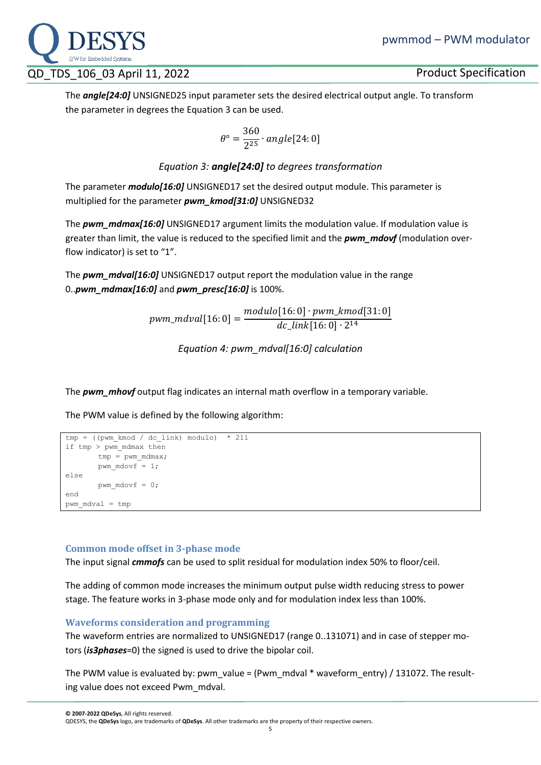

The *angle[24:0]* UNSIGNED25 input parameter sets the desired electrical output angle. To transform the parameter in degrees th[e Equation 3](#page-4-0) can be used.

$$
\theta^{\circ} = \frac{360}{2^{25}} \cdot angle[24:0]
$$

## *Equation 3: angle[24:0] to degrees transformation*

<span id="page-4-0"></span>The parameter *modulo[16:0]* UNSIGNED17 set the desired output module. This parameter is multiplied for the parameter *pwm\_kmod[31:0]* UNSIGNED32

The *pwm\_mdmax[16:0]* UNSIGNED17 argument limits the modulation value. If modulation value is greater than limit, the value is reduced to the specified limit and the *pwm\_mdovf* (modulation overflow indicator) is set to "1".

The *pwm\_mdval[16:0]* UNSIGNED17 output report the modulation value in the range 0..*pwm\_mdmax[16:0]* and *pwm\_presc[16:0]* is 100%.

> $pwm\_mdval[16: 0] =$ modulo[16: 0] ∙ pwm\_kmod[31: 0]  $dc\_link[16: 0] \cdot 2^{14}$

> > *Equation 4: pwm\_mdval[16:0] calculation*

The *pwm\_mhovf* output flag indicates an internal math overflow in a temporary variable.

The PWM value is defined by the following algorithm:

```
tmp = ((pwm kmod / dc link) modulo) * 211if tmp > pwm_mdmax then
       tmp = pwm mdmax;pwm mdovf = 1;else
       pwm_mdovf = 0;
end
pwm_mdval = tmp
```
## **Common mode offset in 3-phase mode**

The input signal *cmmofs* can be used to split residual for modulation index 50% to floor/ceil.

The adding of common mode increases the minimum output pulse width reducing stress to power stage. The feature works in 3-phase mode only and for modulation index less than 100%.

#### **Waveforms consideration and programming**

The waveform entries are normalized to UNSIGNED17 (range 0..131071) and in case of stepper motors (*is3phases*=0) the signed is used to drive the bipolar coil.

The PWM value is evaluated by: pwm\_value = (Pwm\_mdval \* waveform\_entry) / 131072. The resulting value does not exceed Pwm\_mdval.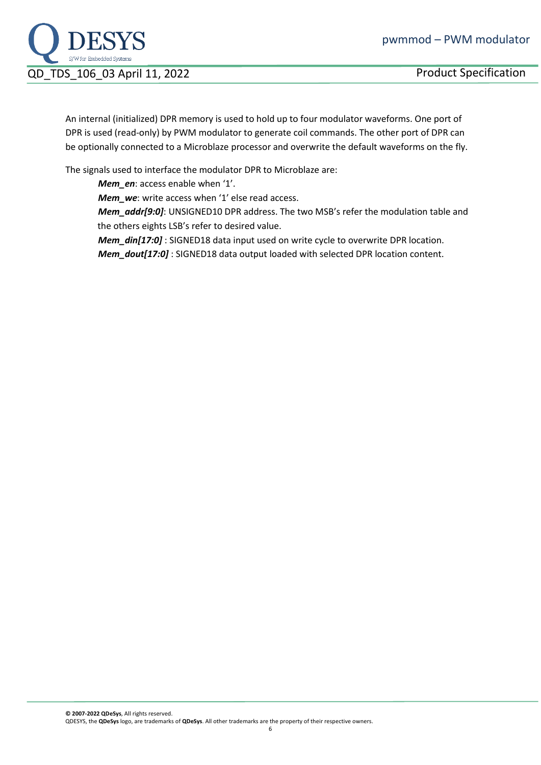

An internal (initialized) DPR memory is used to hold up to four modulator waveforms. One port of DPR is used (read-only) by PWM modulator to generate coil commands. The other port of DPR can be optionally connected to a Microblaze processor and overwrite the default waveforms on the fly.

The signals used to interface the modulator DPR to Microblaze are:

*Mem\_en*: access enable when '1'.

*Mem\_we*: write access when '1' else read access.

*Mem\_addr[9:0]*: UNSIGNED10 DPR address. The two MSB's refer the modulation table and the others eights LSB's refer to desired value.

*Mem\_din[17:0]* : SIGNED18 data input used on write cycle to overwrite DPR location. *Mem\_dout[17:0]* : SIGNED18 data output loaded with selected DPR location content.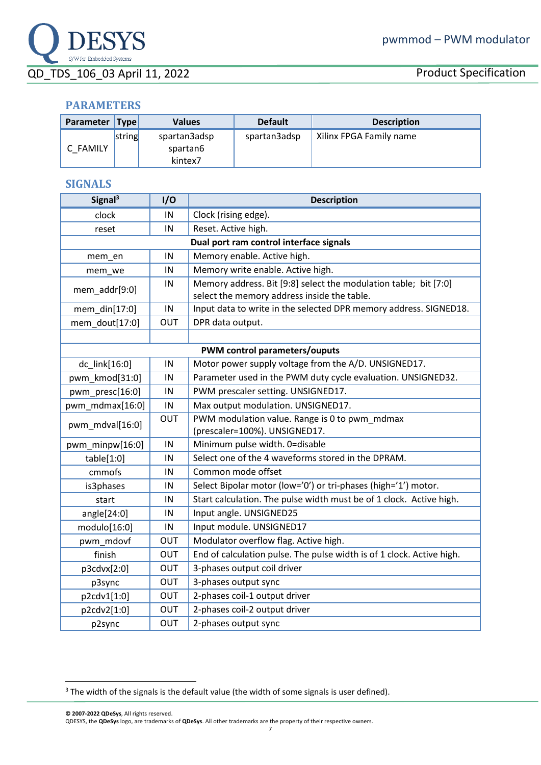# **PARAMETERS**

| Parameter   Type |        | <b>Values</b>                       | <b>Default</b> | <b>Description</b>      |
|------------------|--------|-------------------------------------|----------------|-------------------------|
| C FAMILY         | string | spartan3adsp<br>spartan6<br>kintex7 | spartan3adsp   | Xilinx FPGA Family name |

# **SIGNALS**

| Signal <sup>3</sup>           | 1/O                                     | <b>Description</b>                                                    |  |  |
|-------------------------------|-----------------------------------------|-----------------------------------------------------------------------|--|--|
| clock                         | IN                                      | Clock (rising edge).                                                  |  |  |
| reset                         | IN                                      | Reset. Active high.                                                   |  |  |
|                               | Dual port ram control interface signals |                                                                       |  |  |
| mem_en                        | IN                                      | Memory enable. Active high.                                           |  |  |
| mem_we                        | IN                                      | Memory write enable. Active high.                                     |  |  |
| mem_addr[9:0]                 | IN                                      | Memory address. Bit [9:8] select the modulation table; bit [7:0]      |  |  |
|                               |                                         | select the memory address inside the table.                           |  |  |
| mem_din[17:0]                 | IN                                      | Input data to write in the selected DPR memory address. SIGNED18.     |  |  |
| mem_dout[17:0]                | OUT                                     | DPR data output.                                                      |  |  |
|                               |                                         |                                                                       |  |  |
| PWM control parameters/ouputs |                                         |                                                                       |  |  |
| dc_link[16:0]                 | IN                                      | Motor power supply voltage from the A/D. UNSIGNED17.                  |  |  |
| pwm_kmod[31:0]                | IN                                      | Parameter used in the PWM duty cycle evaluation. UNSIGNED32.          |  |  |
| pwm presc[16:0]               | IN                                      | PWM prescaler setting. UNSIGNED17.                                    |  |  |
| pwm_mdmax[16:0]               | IN                                      | Max output modulation. UNSIGNED17.                                    |  |  |
| pwm_mdval[16:0]               | OUT                                     | PWM modulation value. Range is 0 to pwm_mdmax                         |  |  |
|                               |                                         | (prescaler=100%). UNSIGNED17.                                         |  |  |
| pwm_minpw[16:0]               | IN                                      | Minimum pulse width. 0=disable                                        |  |  |
| table[1:0]                    | IN                                      | Select one of the 4 waveforms stored in the DPRAM.                    |  |  |
| cmmofs                        | IN                                      | Common mode offset                                                    |  |  |
| is3phases                     | IN                                      | Select Bipolar motor (low='0') or tri-phases (high='1') motor.        |  |  |
| start                         | IN                                      | Start calculation. The pulse width must be of 1 clock. Active high.   |  |  |
| angle[24:0]                   | IN                                      | Input angle. UNSIGNED25                                               |  |  |
| modulo[16:0]                  | IN                                      | Input module. UNSIGNED17                                              |  |  |
| pwm mdovf                     | OUT                                     | Modulator overflow flag. Active high.                                 |  |  |
| finish                        | OUT                                     | End of calculation pulse. The pulse width is of 1 clock. Active high. |  |  |
| p3cdvx[2:0]                   | <b>OUT</b>                              | 3-phases output coil driver                                           |  |  |
| p3sync                        | OUT                                     | 3-phases output sync                                                  |  |  |
| p2cdv1[1:0]                   | OUT                                     | 2-phases coil-1 output driver                                         |  |  |
| p2cdv2[1:0]                   | <b>OUT</b>                              | 2-phases coil-2 output driver                                         |  |  |
| p2sync                        | OUT                                     | 2-phases output sync                                                  |  |  |

<sup>&</sup>lt;sup>3</sup> The width of the signals is the default value (the width of some signals is user defined).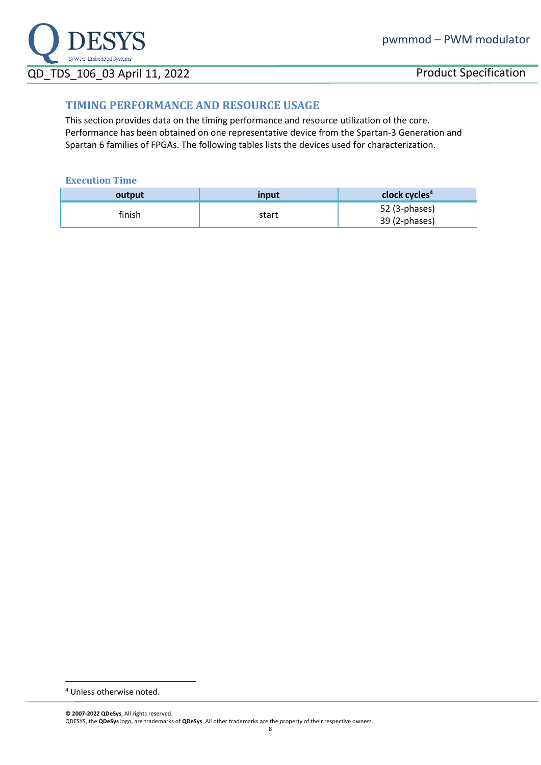

## **TIMING PERFORMANCE AND RESOURCE USAGE**

This section provides data on the timing performance and resource utilization of the core. Performance has been obtained on one representative device from the Spartan-3 Generation and Spartan 6 families of FPGAs. The following tables lists the devices used for characterization.

#### **Execution Time**

| output | input | clock cycles <sup>4</sup>      |
|--------|-------|--------------------------------|
| finish | start | 52 (3-phases)<br>39 (2-phases) |

<sup>4</sup> Unless otherwise noted.

**<sup>©</sup> 2007-2022 QDeSys**, All rights reserved. QDESYS, the **QDeSys** logo, are trademarks of **QDeSys**. All other trademarks are the property of their respective owners.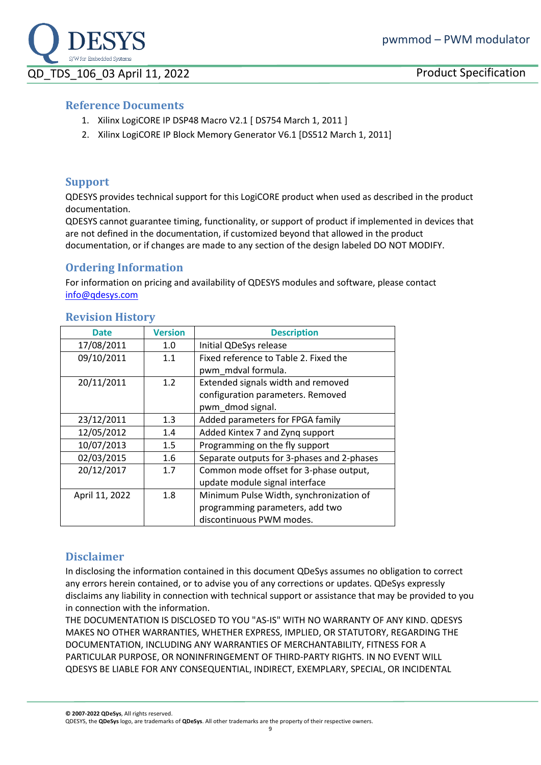

## **Reference Documents**

- 1. Xilinx LogiCORE IP DSP48 Macro V2.1 [ DS754 March 1, 2011 ]
- 2. Xilinx LogiCORE IP Block Memory Generator V6.1 [DS512 March 1, 2011]

## **Support**

QDESYS provides technical support for this LogiCORE product when used as described in the product documentation.

QDESYS cannot guarantee timing, functionality, or support of product if implemented in devices that are not defined in the documentation, if customized beyond that allowed in the product documentation, or if changes are made to any section of the design labeled DO NOT MODIFY.

## **Ordering Information**

For information on pricing and availability of QDESYS modules and software, please contact [info@qdesys.com](mailto:info@qdesys.com)

| <b>Date</b>    | <b>Version</b> | <b>Description</b>                         |
|----------------|----------------|--------------------------------------------|
| 17/08/2011     | 1.0            | Initial QDeSys release                     |
| 09/10/2011     | 1.1            | Fixed reference to Table 2. Fixed the      |
|                |                | pwm mdval formula.                         |
| 20/11/2011     | 1.2            | Extended signals width and removed         |
|                |                | configuration parameters. Removed          |
|                |                | pwm_dmod signal.                           |
| 23/12/2011     | 1.3            | Added parameters for FPGA family           |
| 12/05/2012     | 1.4            | Added Kintex 7 and Zyng support            |
| 10/07/2013     | 1.5            | Programming on the fly support             |
| 02/03/2015     | 1.6            | Separate outputs for 3-phases and 2-phases |
| 20/12/2017     | 1.7            | Common mode offset for 3-phase output,     |
|                |                | update module signal interface             |
| April 11, 2022 | 1.8            | Minimum Pulse Width, synchronization of    |
|                |                | programming parameters, add two            |
|                |                | discontinuous PWM modes.                   |

### **Revision History**

# **Disclaimer**

In disclosing the information contained in this document QDeSys assumes no obligation to correct any errors herein contained, or to advise you of any corrections or updates. QDeSys expressly disclaims any liability in connection with technical support or assistance that may be provided to you in connection with the information.

THE DOCUMENTATION IS DISCLOSED TO YOU "AS-IS" WITH NO WARRANTY OF ANY KIND. QDESYS MAKES NO OTHER WARRANTIES, WHETHER EXPRESS, IMPLIED, OR STATUTORY, REGARDING THE DOCUMENTATION, INCLUDING ANY WARRANTIES OF MERCHANTABILITY, FITNESS FOR A PARTICULAR PURPOSE, OR NONINFRINGEMENT OF THIRD-PARTY RIGHTS. IN NO EVENT WILL QDESYS BE LIABLE FOR ANY CONSEQUENTIAL, INDIRECT, EXEMPLARY, SPECIAL, OR INCIDENTAL